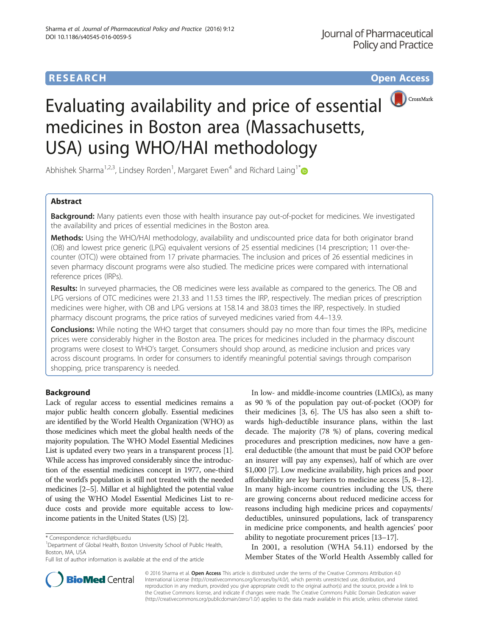# **RESEARCH RESEARCH** *CHECKER CHECKER CHECKER CHECKER CHECKER CHECKER CHECKER CHECKER CHECKER CHECKER CHECKER*



# Evaluating availability and price of essential medicines in Boston area (Massachusetts, USA) using WHO/HAI methodology

Abhishek Sharma<sup>1,2,3</sup>, Lindsey Rorden<sup>1</sup>, Margaret Ewen<sup>4</sup> and Richard Laing<sup>1[\\*](http://orcid.org/0000-0002-3825-217X)</sup>

# Abstract

Background: Many patients even those with health insurance pay out-of-pocket for medicines. We investigated the availability and prices of essential medicines in the Boston area.

Methods: Using the WHO/HAI methodology, availability and undiscounted price data for both originator brand (OB) and lowest price generic (LPG) equivalent versions of 25 essential medicines (14 prescription; 11 over-thecounter (OTC)) were obtained from 17 private pharmacies. The inclusion and prices of 26 essential medicines in seven pharmacy discount programs were also studied. The medicine prices were compared with international reference prices (IRPs).

Results: In surveyed pharmacies, the OB medicines were less available as compared to the generics. The OB and LPG versions of OTC medicines were 21.33 and 11.53 times the IRP, respectively. The median prices of prescription medicines were higher, with OB and LPG versions at 158.14 and 38.03 times the IRP, respectively. In studied pharmacy discount programs, the price ratios of surveyed medicines varied from 4.4–13.9.

**Conclusions:** While noting the WHO target that consumers should pay no more than four times the IRPs, medicine prices were considerably higher in the Boston area. The prices for medicines included in the pharmacy discount programs were closest to WHO's target. Consumers should shop around, as medicine inclusion and prices vary across discount programs. In order for consumers to identify meaningful potential savings through comparison shopping, price transparency is needed.

# Background

Lack of regular access to essential medicines remains a major public health concern globally. Essential medicines are identified by the World Health Organization (WHO) as those medicines which meet the global health needs of the majority population. The WHO Model Essential Medicines List is updated every two years in a transparent process [[1](#page-9-0)]. While access has improved considerably since the introduction of the essential medicines concept in 1977, one-third of the world's population is still not treated with the needed medicines [[2](#page-9-0)–[5\]](#page-9-0). Millar et al highlighted the potential value of using the WHO Model Essential Medicines List to reduce costs and provide more equitable access to lowincome patients in the United States (US) [\[2\]](#page-9-0).

In low- and middle-income countries (LMICs), as many as 90 % of the population pay out-of-pocket (OOP) for their medicines [\[3](#page-9-0), [6](#page-9-0)]. The US has also seen a shift towards high-deductible insurance plans, within the last decade. The majority (78 %) of plans, covering medical procedures and prescription medicines, now have a general deductible (the amount that must be paid OOP before an insurer will pay any expenses), half of which are over \$1,000 [[7\]](#page-9-0). Low medicine availability, high prices and poor affordability are key barriers to medicine access [\[5, 8](#page-9-0)–[12](#page-9-0)]. In many high-income countries including the US, there are growing concerns about reduced medicine access for reasons including high medicine prices and copayments/ deductibles, uninsured populations, lack of transparency in medicine price components, and health agencies' poor ability to negotiate procurement prices [\[13](#page-9-0)–[17](#page-9-0)].

In 2001, a resolution (WHA 54.11) endorsed by the Member States of the World Health Assembly called for



© 2016 Sharma et al. Open Access This article is distributed under the terms of the Creative Commons Attribution 4.0 International License [\(http://creativecommons.org/licenses/by/4.0/](http://creativecommons.org/licenses/by/4.0/)), which permits unrestricted use, distribution, and reproduction in any medium, provided you give appropriate credit to the original author(s) and the source, provide a link to the Creative Commons license, and indicate if changes were made. The Creative Commons Public Domain Dedication waiver [\(http://creativecommons.org/publicdomain/zero/1.0/](http://creativecommons.org/publicdomain/zero/1.0/)) applies to the data made available in this article, unless otherwise stated.

<sup>\*</sup> Correspondence: [richardl@bu.edu](mailto:richardl@bu.edu) <sup>1</sup>

<sup>&</sup>lt;sup>1</sup>Department of Global Health, Boston University School of Public Health, Boston, MA, USA

Full list of author information is available at the end of the article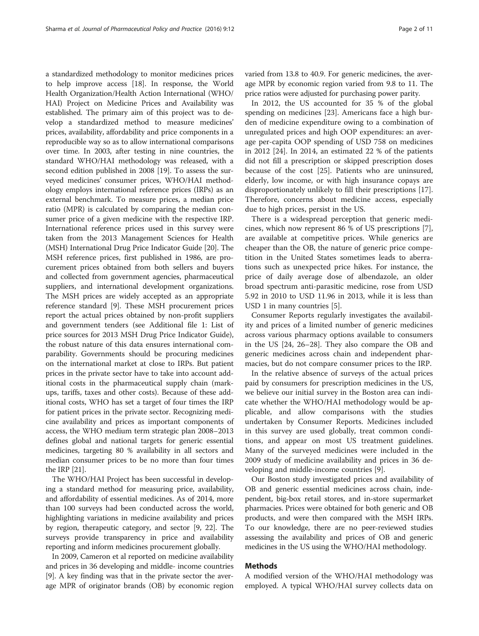a standardized methodology to monitor medicines prices to help improve access [\[18\]](#page-9-0). In response, the World Health Organization/Health Action International (WHO/ HAI) Project on Medicine Prices and Availability was established. The primary aim of this project was to develop a standardized method to measure medicines' prices, availability, affordability and price components in a reproducible way so as to allow international comparisons over time. In 2003, after testing in nine countries, the standard WHO/HAI methodology was released, with a second edition published in 2008 [\[19](#page-9-0)]. To assess the surveyed medicines' consumer prices, WHO/HAI methodology employs international reference prices (IRPs) as an external benchmark. To measure prices, a median price ratio (MPR) is calculated by comparing the median consumer price of a given medicine with the respective IRP. International reference prices used in this survey were taken from the 2013 Management Sciences for Health (MSH) International Drug Price Indicator Guide [\[20\]](#page-9-0). The MSH reference prices, first published in 1986, are procurement prices obtained from both sellers and buyers and collected from government agencies, pharmaceutical suppliers, and international development organizations. The MSH prices are widely accepted as an appropriate reference standard [[9](#page-9-0)]. These MSH procurement prices report the actual prices obtained by non-profit suppliers and government tenders (see Additional file [1](#page-9-0): List of price sources for 2013 MSH Drug Price Indicator Guide), the robust nature of this data ensures international comparability. Governments should be procuring medicines on the international market at close to IRPs. But patient prices in the private sector have to take into account additional costs in the pharmaceutical supply chain (markups, tariffs, taxes and other costs). Because of these additional costs, WHO has set a target of four times the IRP for patient prices in the private sector. Recognizing medicine availability and prices as important components of access, the WHO medium term strategic plan 2008–2013 defines global and national targets for generic essential medicines, targeting 80 % availability in all sectors and median consumer prices to be no more than four times the IRP [\[21\]](#page-10-0).

The WHO/HAI Project has been successful in developing a standard method for measuring price, availability, and affordability of essential medicines. As of 2014, more than 100 surveys had been conducted across the world, highlighting variations in medicine availability and prices by region, therapeutic category, and sector [[9](#page-9-0), [22\]](#page-10-0). The surveys provide transparency in price and availability reporting and inform medicines procurement globally.

In 2009, Cameron et al reported on medicine availability and prices in 36 developing and middle- income countries [[9\]](#page-9-0). A key finding was that in the private sector the average MPR of originator brands (OB) by economic region varied from 13.8 to 40.9. For generic medicines, the average MPR by economic region varied from 9.8 to 11. The price ratios were adjusted for purchasing power parity.

In 2012, the US accounted for 35 % of the global spending on medicines [\[23](#page-10-0)]. Americans face a high burden of medicine expenditure owing to a combination of unregulated prices and high OOP expenditures: an average per-capita OOP spending of USD 758 on medicines in 2012 [[24](#page-10-0)]. In 2014, an estimated 22 % of the patients did not fill a prescription or skipped prescription doses because of the cost [[25](#page-10-0)]. Patients who are uninsured, elderly, low income, or with high insurance copays are disproportionately unlikely to fill their prescriptions [\[17](#page-9-0)]. Therefore, concerns about medicine access, especially due to high prices, persist in the US.

There is a widespread perception that generic medicines, which now represent 86 % of US prescriptions [\[7](#page-9-0)], are available at competitive prices. While generics are cheaper than the OB, the nature of generic price competition in the United States sometimes leads to aberrations such as unexpected price hikes. For instance, the price of daily average dose of albendazole, an older broad spectrum anti-parasitic medicine, rose from USD 5.92 in 2010 to USD 11.96 in 2013, while it is less than USD 1 in many countries [\[5\]](#page-9-0).

Consumer Reports regularly investigates the availability and prices of a limited number of generic medicines across various pharmacy options available to consumers in the US [\[24](#page-10-0), [26](#page-10-0)–[28](#page-10-0)]. They also compare the OB and generic medicines across chain and independent pharmacies, but do not compare consumer prices to the IRP.

In the relative absence of surveys of the actual prices paid by consumers for prescription medicines in the US, we believe our initial survey in the Boston area can indicate whether the WHO/HAI methodology would be applicable, and allow comparisons with the studies undertaken by Consumer Reports. Medicines included in this survey are used globally, treat common conditions, and appear on most US treatment guidelines. Many of the surveyed medicines were included in the 2009 study of medicine availability and prices in 36 developing and middle-income countries [[9\]](#page-9-0).

Our Boston study investigated prices and availability of OB and generic essential medicines across chain, independent, big-box retail stores, and in-store supermarket pharmacies. Prices were obtained for both generic and OB products, and were then compared with the MSH IRPs. To our knowledge, there are no peer-reviewed studies assessing the availability and prices of OB and generic medicines in the US using the WHO/HAI methodology.

## Methods

A modified version of the WHO/HAI methodology was employed. A typical WHO/HAI survey collects data on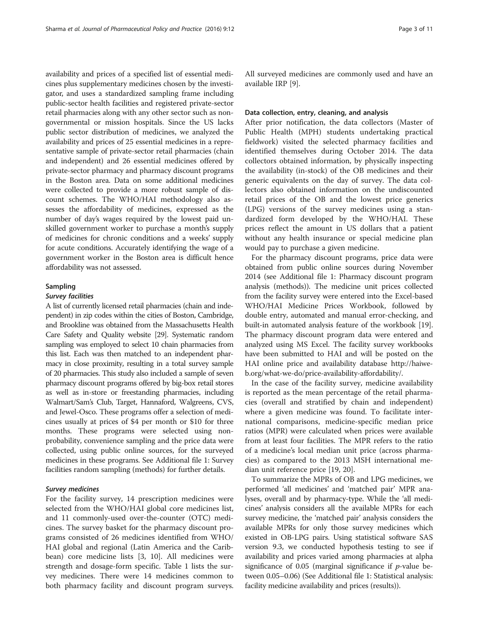availability and prices of a specified list of essential medicines plus supplementary medicines chosen by the investigator, and uses a standardized sampling frame including public-sector health facilities and registered private-sector retail pharmacies along with any other sector such as nongovernmental or mission hospitals. Since the US lacks public sector distribution of medicines, we analyzed the availability and prices of 25 essential medicines in a representative sample of private-sector retail pharmacies (chain and independent) and 26 essential medicines offered by private-sector pharmacy and pharmacy discount programs in the Boston area. Data on some additional medicines were collected to provide a more robust sample of discount schemes. The WHO/HAI methodology also assesses the affordability of medicines, expressed as the number of day's wages required by the lowest paid unskilled government worker to purchase a month's supply of medicines for chronic conditions and a weeks' supply for acute conditions. Accurately identifying the wage of a government worker in the Boston area is difficult hence affordability was not assessed.

## Sampling

#### Survey facilities

A list of currently licensed retail pharmacies (chain and independent) in zip codes within the cities of Boston, Cambridge, and Brookline was obtained from the Massachusetts Health Care Safety and Quality website [\[29\]](#page-10-0). Systematic random sampling was employed to select 10 chain pharmacies from this list. Each was then matched to an independent pharmacy in close proximity, resulting in a total survey sample of 20 pharmacies. This study also included a sample of seven pharmacy discount programs offered by big-box retail stores as well as in-store or freestanding pharmacies, including Walmart/Sam's Club, Target, Hannaford, Walgreens, CVS, and Jewel-Osco. These programs offer a selection of medicines usually at prices of \$4 per month or \$10 for three months. These programs were selected using nonprobability, convenience sampling and the price data were collected, using public online sources, for the surveyed medicines in these programs. See Additional file [1](#page-9-0): Survey facilities random sampling (methods) for further details.

#### Survey medicines

For the facility survey, 14 prescription medicines were selected from the WHO/HAI global core medicines list, and 11 commonly-used over-the-counter (OTC) medicines. The survey basket for the pharmacy discount programs consisted of 26 medicines identified from WHO/ HAI global and regional (Latin America and the Caribbean) core medicine lists [[3](#page-9-0), [10\]](#page-9-0). All medicines were strength and dosage-form specific. Table [1](#page-3-0) lists the survey medicines. There were 14 medicines common to both pharmacy facility and discount program surveys. All surveyed medicines are commonly used and have an available IRP [\[9](#page-9-0)].

## Data collection, entry, cleaning, and analysis

After prior notification, the data collectors (Master of Public Health (MPH) students undertaking practical fieldwork) visited the selected pharmacy facilities and identified themselves during October 2014. The data collectors obtained information, by physically inspecting the availability (in-stock) of the OB medicines and their generic equivalents on the day of survey. The data collectors also obtained information on the undiscounted retail prices of the OB and the lowest price generics (LPG) versions of the survey medicines using a standardized form developed by the WHO/HAI. These prices reflect the amount in US dollars that a patient without any health insurance or special medicine plan would pay to purchase a given medicine.

For the pharmacy discount programs, price data were obtained from public online sources during November 2014 (see Additional file [1: Pharmacy discount program](#page-9-0) [analysis \(methods\)](#page-9-0)). The medicine unit prices collected from the facility survey were entered into the Excel-based WHO/HAI Medicine Prices Workbook, followed by double entry, automated and manual error-checking, and built-in automated analysis feature of the workbook [[19](#page-9-0)]. The pharmacy discount program data were entered and analyzed using MS Excel. The facility survey workbooks have been submitted to HAI and will be posted on the HAI online price and availability database [http://haiwe](http://haiweb.org/what-we-do/price-availability-affordability/)[b.org/what-we-do/price-availability-affordability/](http://haiweb.org/what-we-do/price-availability-affordability/).

In the case of the facility survey, medicine availability is reported as the mean percentage of the retail pharmacies (overall and stratified by chain and independent) where a given medicine was found. To facilitate international comparisons, medicine-specific median price ratios (MPR) were calculated when prices were available from at least four facilities. The MPR refers to the ratio of a medicine's local median unit price (across pharmacies) as compared to the 2013 MSH international median unit reference price [[19](#page-9-0), [20](#page-9-0)].

To summarize the MPRs of OB and LPG medicines, we performed 'all medicines' and 'matched pair' MPR analyses, overall and by pharmacy-type. While the 'all medicines' analysis considers all the available MPRs for each survey medicine, the 'matched pair' analysis considers the available MPRs for only those survey medicines which existed in OB-LPG pairs. Using statistical software SAS version 9.3, we conducted hypothesis testing to see if availability and prices varied among pharmacies at alpha significance of  $0.05$  (marginal significance if  $p$ -value between 0.05–0.06) (See Additional file [1](#page-9-0): Statistical analysis: facility medicine availability and prices (results)).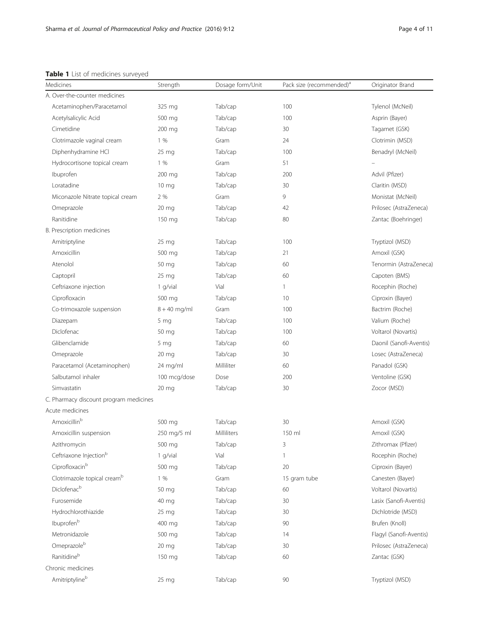## <span id="page-3-0"></span>Table 1 List of medicines surveyed

| Medicines                               | Strength        | Dosage form/Unit | Pack size (recommended) <sup>a</sup> | Originator Brand        |
|-----------------------------------------|-----------------|------------------|--------------------------------------|-------------------------|
| A. Over-the-counter medicines           |                 |                  |                                      |                         |
| Acetaminophen/Paracetamol               | 325 mg          | Tab/cap          | 100                                  | Tylenol (McNeil)        |
| Acetylsalicylic Acid                    | 500 mg          | Tab/cap          | 100                                  | Asprin (Bayer)          |
| Cimetidine                              | 200 mg          | Tab/cap          | 30                                   | Tagamet (GSK)           |
| Clotrimazole vaginal cream              | 1%              | Gram             | 24                                   | Clotrimin (MSD)         |
| Diphenhydramine HCl                     | $25 \text{ mg}$ | Tab/cap          | 100                                  | Benadryl (McNeil)       |
| Hydrocortisone topical cream            | 1%              | Gram             | 51                                   |                         |
| Ibuprofen                               | 200 mg          | Tab/cap          | 200                                  | Advil (Pfizer)          |
| Loratadine                              | $10 \text{ mg}$ | Tab/cap          | 30                                   | Claritin (MSD)          |
| Miconazole Nitrate topical cream        | 2 %             | Gram             | 9                                    | Monistat (McNeil)       |
| Omeprazole                              | $20 \text{ mg}$ | Tab/cap          | 42                                   | Prilosec (AstraZeneca)  |
| Ranitidine                              | 150 mg          | Tab/cap          | 80                                   | Zantac (Boehringer)     |
| B. Prescription medicines               |                 |                  |                                      |                         |
| Amitriptyline                           | 25 mg           | Tab/cap          | 100                                  | Tryptizol (MSD)         |
| Amoxicillin                             | 500 mg          | Tab/cap          | 21                                   | Amoxil (GSK)            |
| Atenolol                                | 50 mg           | Tab/cap          | 60                                   | Tenormin (AstraZeneca)  |
| Captopril                               | 25 mg           | Tab/cap          | 60                                   | Capoten (BMS)           |
| Ceftriaxone injection                   | 1 g/vial        | Vial             | $\mathbf{1}$                         | Rocephin (Roche)        |
| Ciprofloxacin                           | 500 mg          | Tab/cap          | 10                                   | Ciproxin (Bayer)        |
| Co-trimoxazole suspension               | $8 + 40$ mg/ml  | Gram             | 100                                  | Bactrim (Roche)         |
| Diazepam                                | 5 mg            | Tab/cap          | 100                                  | Valium (Roche)          |
| Diclofenac                              | 50 mg           | Tab/cap          | 100                                  | Voltarol (Novartis)     |
| Glibenclamide                           | 5 <sub>mg</sub> | Tab/cap          | 60                                   | Daonil (Sanofi-Aventis) |
| Omeprazole                              | $20 \text{ mg}$ | Tab/cap          | 30                                   | Losec (AstraZeneca)     |
| Paracetamol (Acetaminophen)             | 24 mg/ml        | Milliliter       | 60                                   | Panadol (GSK)           |
| Salbutamol inhaler                      | 100 mcg/dose    | Dose             | 200                                  | Ventoline (GSK)         |
| Simvastatin                             | $20 \text{ mg}$ | Tab/cap          | 30                                   | Zocor (MSD)             |
| C. Pharmacy discount program medicines  |                 |                  |                                      |                         |
| Acute medicines                         |                 |                  |                                      |                         |
| Amoxicillinb                            | 500 mg          | Tab/cap          | 30                                   | Amoxil (GSK)            |
| Amoxicillin suspension                  | 250 mg/5 ml     | Milliliters      | 150 ml                               | Amoxil (GSK)            |
| Azithromycin                            | 500 mg          | Tab/cap          | 3                                    | Zithromax (Pfizer)      |
| Ceftriaxone Injection <sup>b</sup>      | 1 g/vial        | Vial             | $\mathbf{1}$                         | Rocephin (Roche)        |
| Ciprofloxacinb                          | 500 mg          | Tab/cap          | 20                                   | Ciproxin (Bayer)        |
| Clotrimazole topical cream <sup>b</sup> | 1%              | Gram             | 15 gram tube                         | Canesten (Bayer)        |
| Diclofenac <sup>b</sup>                 | 50 mg           | Tab/cap          | 60                                   | Voltarol (Novartis)     |
| Furosemide                              | 40 mg           | Tab/cap          | 30                                   | Lasix (Sanofi-Aventis)  |
| Hydrochlorothiazide                     | 25 mg           | Tab/cap          | 30                                   | Dichlotride (MSD)       |
| Ibuprofen <sup>b</sup>                  | 400 mg          | Tab/cap          | 90                                   | Brufen (Knoll)          |
| Metronidazole                           | 500 mg          | Tab/cap          | 14                                   | Flagyl (Sanofi-Aventis) |
| Omeprazoleb                             | 20 mg           | Tab/cap          | 30                                   | Prilosec (AstraZeneca)  |
| Ranitidineb                             | 150 mg          | Tab/cap          | 60                                   | Zantac (GSK)            |
| Chronic medicines                       |                 |                  |                                      |                         |
| Amitriptylineb                          | 25 mg           | Tab/cap          | 90                                   | Tryptizol (MSD)         |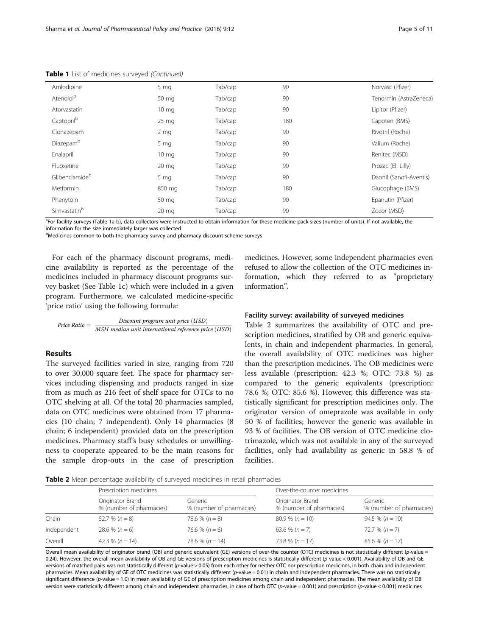| Amlodipine                 | 5 <sub>mg</sub> | Tab/cap | 90  | Norvasc (Pfizer)        |
|----------------------------|-----------------|---------|-----|-------------------------|
| Atenolol <sup>b</sup>      | 50 mg           | Tab/cap | 90  | Tenormin (AstraZeneca)  |
| Atorvastatin               | $10 \text{ mg}$ | Tab/cap | 90  | Lipitor (Pfizer)        |
| Captopril <sup>b</sup>     | $25 \text{ mg}$ | Tab/cap | 180 | Capoten (BMS)           |
| Clonazepam                 | 2 <sub>mg</sub> | Tab/cap | 90  | Rivotril (Roche)        |
| Diazepam <sup>b</sup>      | 5 <sub>mg</sub> | Tab/cap | 90  | Valium (Roche)          |
| Enalapril                  | $10 \text{ mg}$ | Tab/cap | 90  | Renitec (MSD)           |
| Fluoxetine                 | $20 \text{ mg}$ | Tab/cap | 90  | Prozac (Eli Lilly)      |
| Glibenclamide <sup>b</sup> | 5 <sub>mg</sub> | Tab/cap | 90  | Daonil (Sanofi-Aventis) |
| Metformin                  | 850 mg          | Tab/cap | 180 | Glucophage (BMS)        |
| Phenytoin                  | 50 mg           | Tab/cap | 90  | Epanutin (Pfizer)       |
| Simvastatinb               | $20 \text{ mg}$ | Tab/cap | 90  | Zocor (MSD)             |

Table 1 List of medicines surveyed (Continued)

<sup>a</sup>For facility surveys (Table [1a-b\)](#page-3-0), data collectors were instructed to obtain information for these medicine pack sizes (number of units). If not available, the information for the size immediately larger was collected

<sup>b</sup>Medicines common to both the pharmacy survey and pharmacy discount scheme surveys

For each of the pharmacy discount programs, medicine availability is reported as the percentage of the medicines included in pharmacy discount programs survey basket (See Table [1c](#page-3-0)) which were included in a given program. Furthermore, we calculated medicine-specific 'price ratio' using the following formula:

$$
Price Ratio = \frac{Discount program unit price (USD)}{MSH median unit international reference price (USD)}
$$

#### Results

The surveyed facilities varied in size, ranging from 720 to over 30,000 square feet. The space for pharmacy services including dispensing and products ranged in size from as much as 216 feet of shelf space for OTCs to no OTC shelving at all. Of the total 20 pharmacies sampled, data on OTC medicines were obtained from 17 pharmacies (10 chain; 7 independent). Only 14 pharmacies (8 chain; 6 independent) provided data on the prescription medicines. Pharmacy staff's busy schedules or unwillingness to cooperate appeared to be the main reasons for the sample drop-outs in the case of prescription medicines. However, some independent pharmacies even refused to allow the collection of the OTC medicines information, which they referred to as "proprietary information".

## Facility survey: availability of surveyed medicines

Table 2 summarizes the availability of OTC and prescription medicines, stratified by OB and generic equivalents, in chain and independent pharmacies. In general, the overall availability of OTC medicines was higher than the prescription medicines. The OB medicines were less available (prescription: 42.3 %; OTC: 73.8 %) as compared to the generic equivalents (prescription: 78.6 %; OTC: 85.6 %). However, this difference was statistically significant for prescription medicines only. The originator version of omeprazole was available in only 50 % of facilities; however the generic was available in 93 % of facilities. The OB version of OTC medicine clotrimazole, which was not available in any of the surveyed facilities, only had availability as generic in 58.8 % of facilities.

Table 2 Mean percentage availability of surveyed medicines in retail pharmacies

|             | Prescription medicines                       |                                     | Over-the-counter medicines                   |                                     |  |  |  |  |  |  |  |
|-------------|----------------------------------------------|-------------------------------------|----------------------------------------------|-------------------------------------|--|--|--|--|--|--|--|
|             | Originator Brand<br>% (number of pharmacies) | Generic<br>% (number of pharmacies) | Originator Brand<br>% (number of pharmacies) | Generic<br>% (number of pharmacies) |  |  |  |  |  |  |  |
| Chain       | 52.7 % $(n = 8)$                             | 78.6 % $(n = 8)$                    | $80.9\% (n=10)$                              | $94.5 \% (n = 10)$                  |  |  |  |  |  |  |  |
| Independent | $28.6 \% (n=6)$                              | 76.6 % $(n = 6)$                    | 63.6 % $(n = 7)$                             | $72.7 \% (n = 7)$                   |  |  |  |  |  |  |  |
| Overall     | 42.3 % ( $n = 14$ )                          | 78.6 % ( $n = 14$ )                 | 73.8 % ( $n = 17$ )                          | $85.6\% (n=17)$                     |  |  |  |  |  |  |  |

Overall mean availability of originator brand (OB) and generic equivalent (GE) versions of over-the counter (OTC) medicines is not statistically different (p-value = 0.24). However, the overall mean availability of OB and GE versions of prescription medicines is statistically different (p-value < 0.001). Availability of OB and GE versions of matched pairs was not statistically different (p-value > 0.05) from each other for neither OTC nor prescription medicines, in both chain and independent pharmacies. Mean availability of GE of OTC medicines was statistically different (p-value = 0.01) in chain and independent pharmacies. There was no statistically significant difference (p-value = 1.0) in mean availability of GE of prescription medicines among chain and independent pharmacies. The mean availability of OB version were statistically different among chain and independent pharmacies, in case of both OTC (p-value = 0.001) and prescription (p-value < 0.001) medicines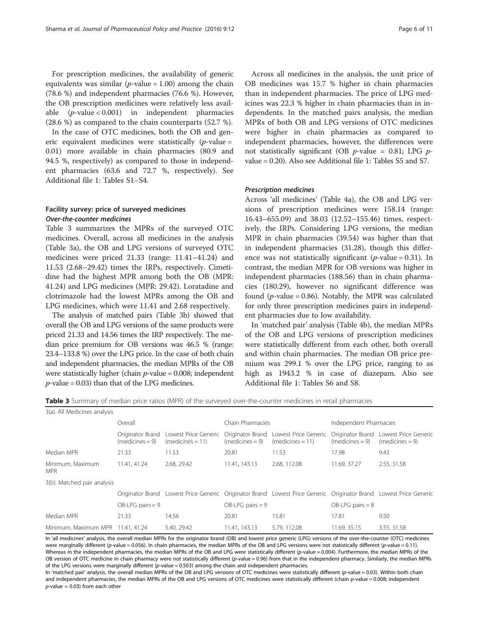For prescription medicines, the availability of generic equivalents was similar ( $p$ -value = 1.00) among the chain (78.6 %) and independent pharmacies (76.6 %). However, the OB prescription medicines were relatively less available (p-value < 0.001) in independent pharmacies (28.6 %) as compared to the chain counterparts (52.7 %).

In the case of OTC medicines, both the OB and generic equivalent medicines were statistically  $(p$ -value = 0.01) more available in chain pharmacies (80.9 and 94.5 %, respectively) as compared to those in independent pharmacies (63.6 and 72.7 %, respectively). See Additional file [1:](#page-9-0) Tables S1–S4.

## Facility survey: price of surveyed medicines Over-the-counter medicines

Table 3 summarizes the MPRs of the surveyed OTC medicines. Overall, across all medicines in the analysis (Table 3a), the OB and LPG versions of surveyed OTC medicines were priced 21.33 (range: 11.41–41.24) and 11.53 (2.68–29.42) times the IRPs, respectively. Cimetidine had the highest MPR among both the OB (MPR: 41.24) and LPG medicines (MPR: 29.42). Loratadine and clotrimazole had the lowest MPRs among the OB and LPG medicines, which were 11.41 and 2.68 respectively.

The analysis of matched pairs (Table 3b) showed that overall the OB and LPG versions of the same products were priced 21.33 and 14.56 times the IRP respectively. The median price premium for OB versions was 46.5 % (range: 23.4–133.8 %) over the LPG price. In the case of both chain and independent pharmacies, the median MPRs of the OB were statistically higher (chain  $p$ -value = 0.008; independent  $p$ -value = 0.03) than that of the LPG medicines.

Across all medicines in the analysis, the unit price of OB medicines was 15.7 % higher in chain pharmacies than in independent pharmacies. The price of LPG medicines was 22.3 % higher in chain pharmacies than in independents. In the matched pairs analysis, the median MPRs of both OB and LPG versions of OTC medicines were higher in chain pharmacies as compared to independent pharmacies, however, the differences were not statistically significant (OB  $p$ -value = 0.81; LPG  $p$ value = 0.20). Also see Additional file [1](#page-9-0): Tables S5 and S7.

## Prescription medicines

Across 'all medicines' (Table [4a](#page-6-0)), the OB and LPG versions of prescription medicines were 158.14 (range: 16.43–655.09) and 38.03 (12.52–155.46) times, respectively, the IRPs. Considering LPG versions, the median MPR in chain pharmacies (39.54) was higher than that in independent pharmacies (31.28), though this difference was not statistically significant ( $p$ -value = 0.31). In contrast, the median MPR for OB versions was higher in independent pharmacies (188.56) than in chain pharmacies (180.29), however no significant difference was found (*p*-value = 0.86). Notably, the MPR was calculated for only three prescription medicines pairs in independent pharmacies due to low availability.

In 'matched pair' analysis (Table [4b](#page-6-0)), the median MPRs of the OB and LPG versions of prescription medicines were statistically different from each other, both overall and within chain pharmacies. The median OB price premium was 299.1 % over the LPG price, ranging to as high as 1943.2 % in case of diazepam. Also see Additional file [1](#page-9-0): Tables S6 and S8.

Table 3 Summary of median price ratios (MPR) of the surveyed over-the-counter medicines in retail pharmacies

| 3(a). All Medicines analysis      |                                                                                                                   |                                            |                                                                                  |              |                                       |                                           |  |
|-----------------------------------|-------------------------------------------------------------------------------------------------------------------|--------------------------------------------|----------------------------------------------------------------------------------|--------------|---------------------------------------|-------------------------------------------|--|
|                                   | Overall                                                                                                           |                                            | Chain Pharmacies                                                                 |              | Independent Pharmacies                |                                           |  |
|                                   | Originator Brand<br>$(medicines = 9)$                                                                             | Lowest Price Generic<br>$(medicines = 11)$ | Originator Brand Lowest Price Generic<br>$(medicines = 9)$<br>$(medicines = 11)$ |              | Originator Brand<br>$(medicines = 9)$ | Lowest Price Generic<br>$(medicines = 9)$ |  |
| Median MPR                        | 21.33                                                                                                             | 11.53                                      | 20.81                                                                            | 11.53        | 17.98                                 | 9.43                                      |  |
| Minimum, Maximum<br><b>MPR</b>    | 2.68, 29.42<br>11.41, 41.24                                                                                       |                                            | 2.68, 112.08<br>11.41, 143.13                                                    |              | 11.69, 37.27                          | 2.55, 31.58                               |  |
| 3(b). Matched pair analysis       |                                                                                                                   |                                            |                                                                                  |              |                                       |                                           |  |
|                                   | Originator Brand Lowest Price Generic Originator Brand Lowest Price Generic Originator Brand Lowest Price Generic |                                            |                                                                                  |              |                                       |                                           |  |
|                                   | $OB$ -LPG pairs = 9                                                                                               |                                            | $OB$ -LPG pairs = 9                                                              |              | $OB$ -LPG pairs = 8                   |                                           |  |
| Median MPR                        | 21.33                                                                                                             | 14.56                                      | 20.81                                                                            | 15.81        | 17.81                                 | 9.50                                      |  |
| Minimum, Maximum MPR 11.41, 41.24 |                                                                                                                   | 5.40, 29.42                                | 11.41, 143.13                                                                    | 5.79, 112.08 | 11.69, 35.15                          | 3.55, 31.58                               |  |

In 'all medicines' analysis, the overall median MPRs for the originator brand (OB) and lowest price generic (LPG) versions of the over-the-counter (OTC) medicines were marginally different (p-value = 0.056). In chain pharmacies, the median MPRs of the OB and LPG versions were not statistically different (p-value = 0.11). Whereas in the independent pharmacies, the median MPRs of the OB and LPG were statistically different (p-value = 0.004). Furthermore, the median MPRs of the OB version of OTC medicine in chain pharmacy were not statistically different (p-value = 0.96) from that in the independent pharmacy. Similarly, the median MPRs of the LPG versions were marginally different (p-value = 0.503) among the chain and independent pharmacies.

In 'matched pair' analysis, the overall median MPRs of the OB and LPG versions of OTC medicines were statistically different (p-value = 0.03). Within both chain and independent pharmacies, the median MPRs of the OB and LPG versions of OTC medicines were statistically different (chain p-value = 0.008; independent  $p$ -value = 0.03) from each other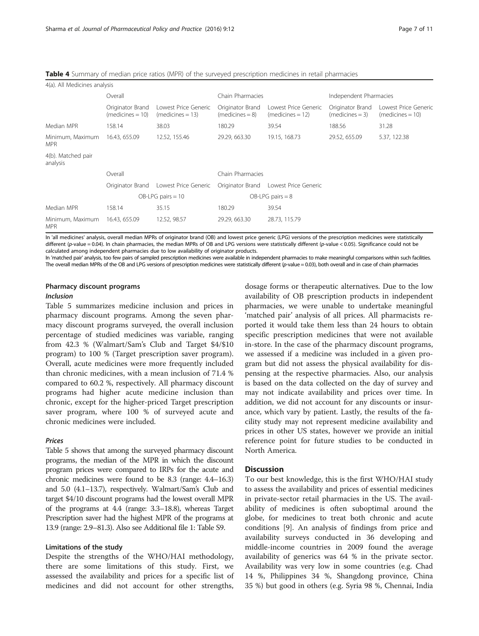<span id="page-6-0"></span>Table 4 Summary of median price ratios (MPR) of the surveyed prescription medicines in retail pharmacies

| 4(a). All Medicines analysis   |                                        |                                                                                                           |                                          |                       |                                       |                                            |  |  |
|--------------------------------|----------------------------------------|-----------------------------------------------------------------------------------------------------------|------------------------------------------|-----------------------|---------------------------------------|--------------------------------------------|--|--|
|                                | Overall                                |                                                                                                           | Chain Pharmacies                         |                       | Independent Pharmacies                |                                            |  |  |
|                                | Originator Brand<br>$(medicines = 10)$ | Lowest Price Generic<br>Originator Brand<br>$(medicines = 13)$<br>$(medicines = 8)$<br>$(medicines = 12)$ |                                          | Lowest Price Generic  | Originator Brand<br>$(medicines = 3)$ | Lowest Price Generic<br>$(medicines = 10)$ |  |  |
| Median MPR                     | 158.14                                 | 38.03                                                                                                     | 180.29                                   | 39.54                 | 188.56                                | 31.28                                      |  |  |
| Minimum, Maximum<br><b>MPR</b> | 16.43, 655.09<br>12.52, 155.46         |                                                                                                           | 29.29, 663.30                            | 19.15, 168.73         | 29.52, 655.09                         | 5.37, 122.38                               |  |  |
| 4(b). Matched pair<br>analysis |                                        |                                                                                                           |                                          |                       |                                       |                                            |  |  |
|                                | Overall                                |                                                                                                           | Chain Pharmacies                         |                       |                                       |                                            |  |  |
|                                | Originator Brand                       | Lowest Price Generic                                                                                      | Originator Brand<br>Lowest Price Generic |                       |                                       |                                            |  |  |
|                                | $OB$ -LPG pairs = 10                   |                                                                                                           |                                          | $OB$ -LPG pairs = $8$ |                                       |                                            |  |  |
| Median MPR                     | 35.15<br>158.14                        |                                                                                                           | 180.29                                   | 39.54                 |                                       |                                            |  |  |
| Minimum, Maximum<br><b>MPR</b> | 16.43, 655.09                          | 12.52, 98.57                                                                                              | 29.29, 663.30                            | 28.73, 115.79         |                                       |                                            |  |  |

In 'all medicines' analysis, overall median MPRs of originator brand (OB) and lowest price generic (LPG) versions of the prescription medicines were statistically different (p-value = 0.04). In chain pharmacies, the median MPRs of OB and LPG versions were statistically different (p-value < 0.05). Significance could not be calculated among independent pharmacies due to low availability of originator products.

In 'matched pair' analysis, too few pairs of sampled prescription medicines were available in independent pharmacies to make meaningful comparisons within such facilities. The overall median MPRs of the OB and LPG versions of prescription medicines were statistically different (p-value = 0.03), both overall and in case of chain pharmacies

## Pharmacy discount programs

## Inclusion

Table [5](#page-7-0) summarizes medicine inclusion and prices in pharmacy discount programs. Among the seven pharmacy discount programs surveyed, the overall inclusion percentage of studied medicines was variable, ranging from 42.3 % (Walmart/Sam's Club and Target \$4/\$10 program) to 100 % (Target prescription saver program). Overall, acute medicines were more frequently included than chronic medicines, with a mean inclusion of 71.4 % compared to 60.2 %, respectively. All pharmacy discount programs had higher acute medicine inclusion than chronic, except for the higher-priced Target prescription saver program, where 100 % of surveyed acute and chronic medicines were included.

#### Prices

Table [5](#page-7-0) shows that among the surveyed pharmacy discount programs, the median of the MPR in which the discount program prices were compared to IRPs for the acute and chronic medicines were found to be 8.3 (range: 4.4–16.3) and 5.0 (4.1–13.7), respectively. Walmart/Sam's Club and target \$4/10 discount programs had the lowest overall MPR of the programs at 4.4 (range: 3.3–18.8), whereas Target Prescription saver had the highest MPR of the programs at 13.9 (range: 2.9–81.3). Also see Additional file [1:](#page-9-0) Table S9.

## Limitations of the study

Despite the strengths of the WHO/HAI methodology, there are some limitations of this study. First, we assessed the availability and prices for a specific list of medicines and did not account for other strengths, dosage forms or therapeutic alternatives. Due to the low availability of OB prescription products in independent pharmacies, we were unable to undertake meaningful 'matched pair' analysis of all prices. All pharmacists reported it would take them less than 24 hours to obtain specific prescription medicines that were not available in-store. In the case of the pharmacy discount programs, we assessed if a medicine was included in a given program but did not assess the physical availability for dispensing at the respective pharmacies. Also, our analysis is based on the data collected on the day of survey and may not indicate availability and prices over time. In addition, we did not account for any discounts or insurance, which vary by patient. Lastly, the results of the facility study may not represent medicine availability and prices in other US states, however we provide an initial reference point for future studies to be conducted in North America.

## **Discussion**

To our best knowledge, this is the first WHO/HAI study to assess the availability and prices of essential medicines in private-sector retail pharmacies in the US. The availability of medicines is often suboptimal around the globe, for medicines to treat both chronic and acute conditions [\[9](#page-9-0)]. An analysis of findings from price and availability surveys conducted in 36 developing and middle-income countries in 2009 found the average availability of generics was 64 % in the private sector. Availability was very low in some countries (e.g. Chad 14 %, Philippines 34 %, Shangdong province, China 35 %) but good in others (e.g. Syria 98 %, Chennai, India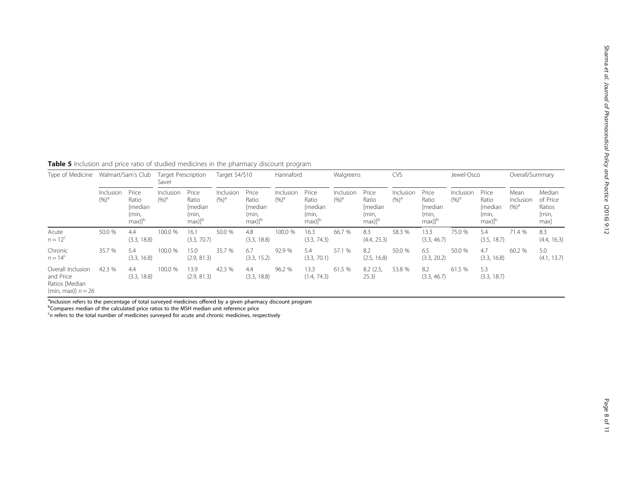<span id="page-7-0"></span>Table 5 Inclusion and price ratio of studied medicines in the pharmacy discount program

| Type of Medicine                                                         | Walmart/Sam's Club    |                                                 | <b>Target Prescription</b><br>Saver |                                                 | Target \$4/\$10      |                                                 | Hannaford               |                                                 | Walgreens            |                                                                  | <b>CVS</b>           |                                                                  | Jewel-Osco               |                                                                    | Overall/Summary              |                                               |
|--------------------------------------------------------------------------|-----------------------|-------------------------------------------------|-------------------------------------|-------------------------------------------------|----------------------|-------------------------------------------------|-------------------------|-------------------------------------------------|----------------------|------------------------------------------------------------------|----------------------|------------------------------------------------------------------|--------------------------|--------------------------------------------------------------------|------------------------------|-----------------------------------------------|
|                                                                          | Inclusion<br>$(\%)^d$ | Price<br>Ratio<br>[median<br>(min,<br>$max)]^b$ | Inclusion<br>$(%)^a$                | Price<br>Ratio<br>[median<br>(min,<br>$max)]^b$ | Inclusion<br>$(%)^a$ | Price<br>Ratio<br>[median<br>(min,<br>$max)]^b$ | Inclusion<br>$(96)^{5}$ | Price<br>Ratio<br>[median<br>(min,<br>$max)]^b$ | Inclusion<br>$(%)^a$ | Price<br>Ratio<br>[median<br>(min,<br>$\text{max})$ <sup>b</sup> | Inclusion<br>$(%)^a$ | Price<br>Ratio<br>[median<br>(min,<br>$\text{max})$ <sup>b</sup> | Inclusion<br>$(9/6)^{a}$ | Price<br>Ratio<br>[median<br>(min,<br>$\text{max})$ ] <sup>b</sup> | Mean<br>Inclusion<br>$(%)^a$ | Median<br>of Price<br>Ratios<br>[min,<br>max] |
| Acute<br>$n = 12^{\circ}$                                                | 50.0 %                | 4.4<br>(3.3, 18.8)                              | 100.0 %                             | 16.1<br>(3.3, 70.7)                             | 50.0 %               | 4.8<br>(3.3, 18.8)                              | 100.0 %                 | 16.3<br>(3.3, 74.3)                             | 66.7 %               | 8.3<br>(4.4, 25.3)                                               | 58.3 %               | 13.3<br>(3.3, 46.7)                                              | 75.0 %                   | 5.4<br>(3.5, 18.7)                                                 | 71.4 %                       | 8.3<br>(4.4, 16.3)                            |
| Chronic<br>$n = 14^c$                                                    | 35.7 %                | 5.4<br>(3.3, 16.8)                              | 100.0 %                             | 15.0<br>(2.9, 81.3)                             | 35.7 %               | 6.7<br>(3.3, 15.2)                              | 92.9 %                  | 5.4<br>(3.3, 70.1)                              | 57.1 %               | 8.2<br>(2.5, 16.8)                                               | 50.0 %               | 6.5<br>(3.3, 20.2)                                               | 50.0 %                   | 4.7<br>(3.3, 16.8)                                                 | 60.2 %                       | 5.0<br>(4.1, 13.7)                            |
| Overall Inclusion<br>and Price<br>Ratios [Median<br>(min, max)] $n = 26$ | 42.3 %                | 4.4<br>(3.3, 18.8)                              | 100.0 %                             | 13.9<br>(2.9, 81.3)                             | 42.3 %               | 4.4<br>(3.3, 18.8)                              | 96.2 %                  | 13.3<br>(1.4, 74.3)                             | 61.5 %               | 8.2(2.5,<br>25.3)                                                | 53.8 %               | 8.2<br>(3.3, 46.7)                                               | 61.5 %                   | 5.3<br>(3.3, 18.7)                                                 |                              |                                               |

<sup>a</sup>Inclusion refers to the percentage of total surveyed medicines offered by a given pharmacy discount program

<sup>b</sup>Compares median of the calculated price ratios to the MSH median unit reference price

<sup>c</sup>n refers to the total number of medicines surveyed for acute and chronic medicines, respectively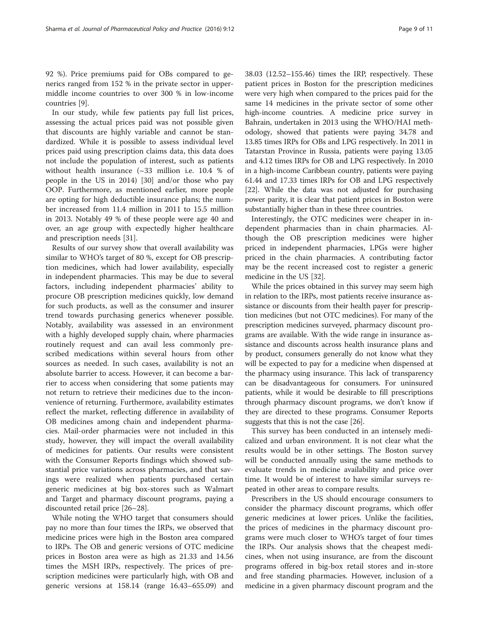92 %). Price premiums paid for OBs compared to generics ranged from 152 % in the private sector in uppermiddle income countries to over 300 % in low-income countries [[9\]](#page-9-0).

In our study, while few patients pay full list prices, assessing the actual prices paid was not possible given that discounts are highly variable and cannot be standardized. While it is possible to assess individual level prices paid using prescription claims data, this data does not include the population of interest, such as patients without health insurance (~33 million i.e. 10.4 % of people in the US in 2014) [\[30](#page-10-0)] and/or those who pay OOP. Furthermore, as mentioned earlier, more people are opting for high deductible insurance plans; the number increased from 11.4 million in 2011 to 15.5 million in 2013. Notably 49 % of these people were age 40 and over, an age group with expectedly higher healthcare and prescription needs [\[31\]](#page-10-0).

Results of our survey show that overall availability was similar to WHO's target of 80 %, except for OB prescription medicines, which had lower availability, especially in independent pharmacies. This may be due to several factors, including independent pharmacies' ability to procure OB prescription medicines quickly, low demand for such products, as well as the consumer and insurer trend towards purchasing generics whenever possible. Notably, availability was assessed in an environment with a highly developed supply chain, where pharmacies routinely request and can avail less commonly prescribed medications within several hours from other sources as needed. In such cases, availability is not an absolute barrier to access. However, it can become a barrier to access when considering that some patients may not return to retrieve their medicines due to the inconvenience of returning. Furthermore, availability estimates reflect the market, reflecting difference in availability of OB medicines among chain and independent pharmacies. Mail-order pharmacies were not included in this study, however, they will impact the overall availability of medicines for patients. Our results were consistent with the Consumer Reports findings which showed substantial price variations across pharmacies, and that savings were realized when patients purchased certain generic medicines at big box-stores such as Walmart and Target and pharmacy discount programs, paying a discounted retail price [\[26](#page-10-0)–[28\]](#page-10-0).

While noting the WHO target that consumers should pay no more than four times the IRPs, we observed that medicine prices were high in the Boston area compared to IRPs. The OB and generic versions of OTC medicine prices in Boston area were as high as 21.33 and 14.56 times the MSH IRPs, respectively. The prices of prescription medicines were particularly high, with OB and generic versions at 158.14 (range 16.43–655.09) and

38.03 (12.52–155.46) times the IRP, respectively. These patient prices in Boston for the prescription medicines were very high when compared to the prices paid for the same 14 medicines in the private sector of some other high-income countries. A medicine price survey in Bahrain, undertaken in 2013 using the WHO/HAI methodology, showed that patients were paying 34.78 and 13.85 times IRPs for OBs and LPG respectively. In 2011 in Tatarstan Province in Russia, patients were paying 13.05 and 4.12 times IRPs for OB and LPG respectively. In 2010 in a high-income Caribbean country, patients were paying 61.44 and 17.33 times IRPs for OB and LPG respectively [[22](#page-10-0)]. While the data was not adjusted for purchasing power parity, it is clear that patient prices in Boston were substantially higher than in these three countries.

Interestingly, the OTC medicines were cheaper in independent pharmacies than in chain pharmacies. Although the OB prescription medicines were higher priced in independent pharmacies, LPGs were higher priced in the chain pharmacies. A contributing factor may be the recent increased cost to register a generic medicine in the US [[32\]](#page-10-0).

While the prices obtained in this survey may seem high in relation to the IRPs, most patients receive insurance assistance or discounts from their health payer for prescription medicines (but not OTC medicines). For many of the prescription medicines surveyed, pharmacy discount programs are available. With the wide range in insurance assistance and discounts across health insurance plans and by product, consumers generally do not know what they will be expected to pay for a medicine when dispensed at the pharmacy using insurance. This lack of transparency can be disadvantageous for consumers. For uninsured patients, while it would be desirable to fill prescriptions through pharmacy discount programs, we don't know if they are directed to these programs. Consumer Reports suggests that this is not the case [[26](#page-10-0)].

This survey has been conducted in an intensely medicalized and urban environment. It is not clear what the results would be in other settings. The Boston survey will be conducted annually using the same methods to evaluate trends in medicine availability and price over time. It would be of interest to have similar surveys repeated in other areas to compare results.

Prescribers in the US should encourage consumers to consider the pharmacy discount programs, which offer generic medicines at lower prices. Unlike the facilities, the prices of medicines in the pharmacy discount programs were much closer to WHO's target of four times the IRPs. Our analysis shows that the cheapest medicines, when not using insurance, are from the discount programs offered in big-box retail stores and in-store and free standing pharmacies. However, inclusion of a medicine in a given pharmacy discount program and the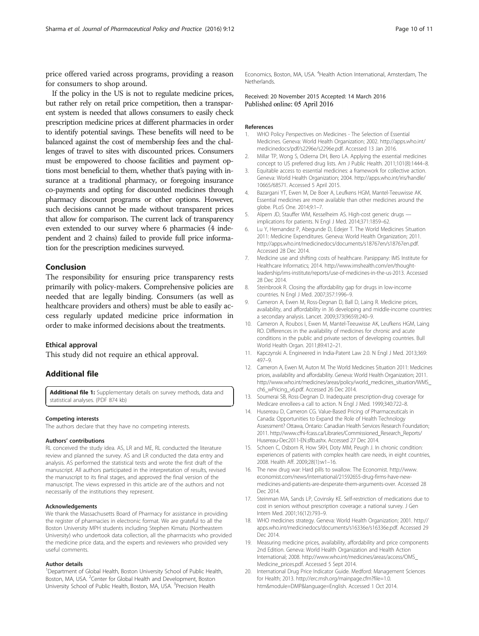<span id="page-9-0"></span>price offered varied across programs, providing a reason for consumers to shop around.

If the policy in the US is not to regulate medicine prices, but rather rely on retail price competition, then a transparent system is needed that allows consumers to easily check prescription medicine prices at different pharmacies in order to identify potential savings. These benefits will need to be balanced against the cost of membership fees and the challenges of travel to sites with discounted prices. Consumers must be empowered to choose facilities and payment options most beneficial to them, whether that's paying with insurance at a traditional pharmacy, or foregoing insurance co-payments and opting for discounted medicines through pharmacy discount programs or other options. However, such decisions cannot be made without transparent prices that allow for comparison. The current lack of transparency even extended to our survey where 6 pharmacies (4 independent and 2 chains) failed to provide full price information for the prescription medicines surveyed.

## Conclusion

The responsibility for ensuring price transparency rests primarily with policy-makers. Comprehensive policies are needed that are legally binding. Consumers (as well as healthcare providers and others) must be able to easily access regularly updated medicine price information in order to make informed decisions about the treatments.

## Ethical approval

This study did not require an ethical approval.

## Additional file

[Additional file 1:](dx.doi.org/10.1186/s40545-016-0059-5) Supplementary details on survey methods, data and statistical analyses. (PDF 874 kb)

#### Competing interests

The authors declare that they have no competing interests.

#### Authors' contributions

RL conceived the study idea. AS, LR and ME, RL conducted the literature review and planned the survey. AS and LR conducted the data entry and analysis. AS performed the statistical tests and wrote the first draft of the manuscript. All authors participated in the interpretation of results, revised the manuscript to its final stages, and approved the final version of the manuscript. The views expressed in this article are of the authors and not necessarily of the institutions they represent.

#### Acknowledgements

We thank the Massachusetts Board of Pharmacy for assistance in providing the register of pharmacies in electronic format. We are grateful to all the Boston University MPH students including Stephen Kimatu (Northeastern University) who undertook data collection, all the pharmacists who provided the medicine price data, and the experts and reviewers who provided very useful comments.

#### Author details

<sup>1</sup>Department of Global Health, Boston University School of Public Health, Boston, MA, USA. <sup>2</sup>Center for Global Health and Development, Boston University School of Public Health, Boston, MA, USA. <sup>3</sup>Precision Health

Economics, Boston, MA, USA. <sup>4</sup>Health Action International, Amsterdam, The **Netherlands** 

## Received: 20 November 2015 Accepted: 14 March 2016 Published online: 05 April 2016

#### References

- WHO Policy Perspectives on Medicines The Selection of Essential Medicines. Geneva: World Health Organization; 2002. [http://apps.who.int/](http://apps.who.int/medicinedocs/pdf/s2296e/s2296e.pdf) [medicinedocs/pdf/s2296e/s2296e.pdf](http://apps.who.int/medicinedocs/pdf/s2296e/s2296e.pdf). Accessed 13 Jan 2016.
- 2. Millar TP, Wong S, Odierna DH, Bero LA. Applying the essential medicines concept to US preferred drug lists. Am J Public Health. 2011;101(8):1444–8.
- 3. Equitable access to essential medicines: a framework for collective action. Geneva: World Health Organization; 2004. [http://apps.who.int/iris/handle/](http://apps.who.int/iris/handle/10665/68571) [10665/68571](http://apps.who.int/iris/handle/10665/68571). Accessed 5 April 2015.
- 4. Bazargani YT, Ewen M, De Boer A, Leufkens HGM, Mantel-Teeuwisse AK. Essential medicines are more available than other medicines around the globe. PLoS One. 2014;9:1–7.
- 5. Alpern JD, Stauffer WM, Kesselheim AS. High-cost generic drugs implications for patients. N Engl J Med. 2014;371:1859–62.
- 6. Lu Y, Hernandez P, Abegunde D, Edejer T. The World Medicines Situation 2011: Medicine Expenditures. Geneva: World Health Organization; 2011. [http://apps.who.int/medicinedocs/documents/s18767en/s18767en.pdf.](http://apps.who.int/medicinedocs/documents/s18767en/s18767en.pdf) Accessed 28 Dec 2014.
- 7. Medicine use and shifting costs of healthcare. Parsippany: IMS Institute for Healthcare Informatics; 2014. [http://www.imshealth.com/en/thought](http://www.imshealth.com/en/thought-leadership/ims-institute/reports/use-of-medicines-in-the-us-2013)[leadership/ims-institute/reports/use-of-medicines-in-the-us-2013](http://www.imshealth.com/en/thought-leadership/ims-institute/reports/use-of-medicines-in-the-us-2013). Accessed 28 Dec 2014.
- 8. Steinbrook R. Closing the affordability gap for drugs in low-income countries. N Engl J Med. 2007;357:1996–9.
- 9. Cameron A, Ewen M, Ross-Degnan D, Ball D, Laing R. Medicine prices, availability, and affordability in 36 developing and middle-income countries: a secondary analysis. Lancet. 2009;373(9659):240–9.
- 10. Cameron A, Roubos I, Ewen M, Mantel-Teeuwisse AK, Leufkens HGM, Laing RO. Differences in the availability of medicines for chronic and acute conditions in the public and private sectors of developing countries. Bull World Health Organ. 2011;89:412–21.
- 11. Kapczynski A. Engineered in India-Patent Law 2.0. N Engl J Med. 2013;369: 497–9.
- 12. Cameron A, Ewen M, Auton M. The World Medicines Situation 2011: Medicines prices, availability and affordability. Geneva: World Health Organization; 2011. [http://www.who.int/medicines/areas/policy/world\\_medicines\\_situation/WMS\\_](http://www.who.int/medicines/areas/policy/world_medicines_situation/WMS_ch6_wPricing_v6.pdf) [ch6\\_wPricing\\_v6.pdf](http://www.who.int/medicines/areas/policy/world_medicines_situation/WMS_ch6_wPricing_v6.pdf). Accessed 26 Dec 2014.
- 13. Soumerai SB, Ross-Degnan D. Inadequate prescription-drug coverage for Medicare enrollees-a call to action. N Engl J Med. 1999;340:722–8.
- 14. Husereau D, Cameron CG. Value-Based Pricing of Pharmaceuticals in Canada: Opportunities to Expand the Role of Health Technology Assessment? Ottawa, Ontario: Canadian Health Services Research Foundation; 2011. [http://www.cfhi-fcass.ca/Libraries/Commissioned\\_Research\\_Reports/](http://www.cfhi-fcass.ca/Libraries/Commissioned_Research_Reports/Husereau-Dec2011-EN.sflb.ashx) [Husereau-Dec2011-EN.sflb.ashx](http://www.cfhi-fcass.ca/Libraries/Commissioned_Research_Reports/Husereau-Dec2011-EN.sflb.ashx). Accessed 27 Dec 2014.
- 15. Schoen C, Osborn R, How SKH, Doty MM, Peugh J. In chronic condition: experiences of patients with complex health care needs, in eight countries, 2008. Health Aff. 2009;28(1):w1–16.
- 16. The new drug war: Hard pills to swallow. The Economist. [http://www.](http://www.economist.com/news/international/21592655-drug-firms-have-new-medicines-and-patients-are-desperate-them-arguments-over) [economist.com/news/international/21592655-drug-firms-have-new](http://www.economist.com/news/international/21592655-drug-firms-have-new-medicines-and-patients-are-desperate-them-arguments-over)[medicines-and-patients-are-desperate-them-arguments-over](http://www.economist.com/news/international/21592655-drug-firms-have-new-medicines-and-patients-are-desperate-them-arguments-over). Accessed 28 Dec 2014.
- 17. Steinman MA, Sands LP, Covinsky KE. Self-restriction of medications due to cost in seniors without prescription coverage: a national survey. J Gen Intern Med. 2001;16(12):793–9.
- 18. WHO medicines strategy. Geneva: World Health Organization; 2001. [http://](http://apps.who.int/medicinedocs/documents/s16336e/s16336e.pdf) [apps.who.int/medicinedocs/documents/s16336e/s16336e.pdf](http://apps.who.int/medicinedocs/documents/s16336e/s16336e.pdf). Accessed 29 Dec 2014.
- 19. Measuring medicine prices, availability, affordability and price components 2nd Edition. Geneva: World Health Organization and Health Action International; 2008. [http://www.who.int/medicines/areas/access/OMS\\_](http://www.who.int/medicines/areas/access/OMS_Medicine_prices.pdf) [Medicine\\_prices.pdf.](http://www.who.int/medicines/areas/access/OMS_Medicine_prices.pdf) Accessed 5 Sept 2014.
- 20. International Drug Price Indicator Guide. Medford: Management Sciences for Health; 2013. [http://erc.msh.org/mainpage.cfm?file=1.0.](http://erc.msh.org/mainpage.cfm?file=1.0.htm&module=DMP&language=English) [htm&module=DMP&language=English](http://erc.msh.org/mainpage.cfm?file=1.0.htm&module=DMP&language=English). Accessed 1 Oct 2014.